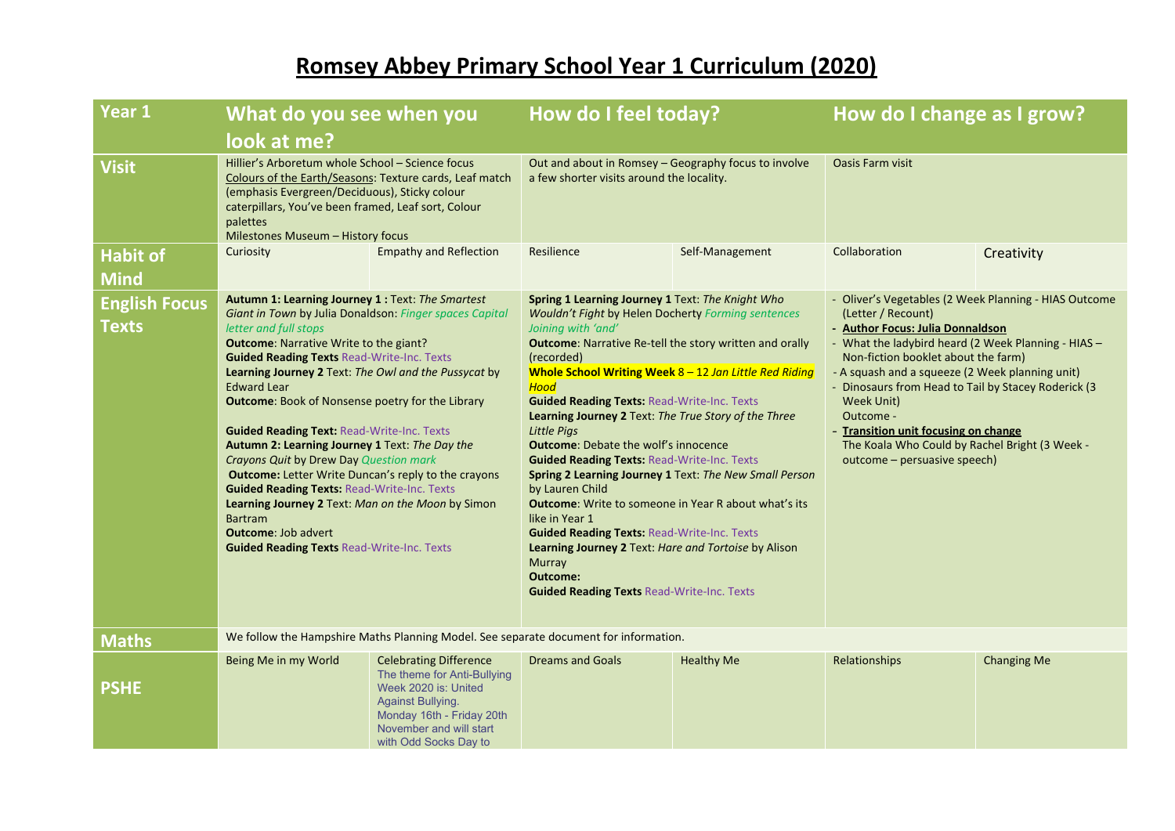## **Romsey Abbey Primary School Year 1 Curriculum (2020)**

| Year 1                               | What do you see when you                                                                                                                                                                                                                                                                                                                                                                                                                                                                                                                                                                                                                                                                                                                                                                                                   |                                                                                                                                                                                                   | How do I feel today?                                                                                                                                                                                                                                                                                                                                                                                                                                                                                                                                                                                                                                                                                                                                                                                                                                                                  |                   | How do I change as I grow?                                                                                                                                                                                                                                                                                                                                                                                        |                                                       |
|--------------------------------------|----------------------------------------------------------------------------------------------------------------------------------------------------------------------------------------------------------------------------------------------------------------------------------------------------------------------------------------------------------------------------------------------------------------------------------------------------------------------------------------------------------------------------------------------------------------------------------------------------------------------------------------------------------------------------------------------------------------------------------------------------------------------------------------------------------------------------|---------------------------------------------------------------------------------------------------------------------------------------------------------------------------------------------------|---------------------------------------------------------------------------------------------------------------------------------------------------------------------------------------------------------------------------------------------------------------------------------------------------------------------------------------------------------------------------------------------------------------------------------------------------------------------------------------------------------------------------------------------------------------------------------------------------------------------------------------------------------------------------------------------------------------------------------------------------------------------------------------------------------------------------------------------------------------------------------------|-------------------|-------------------------------------------------------------------------------------------------------------------------------------------------------------------------------------------------------------------------------------------------------------------------------------------------------------------------------------------------------------------------------------------------------------------|-------------------------------------------------------|
|                                      | look at me?                                                                                                                                                                                                                                                                                                                                                                                                                                                                                                                                                                                                                                                                                                                                                                                                                |                                                                                                                                                                                                   |                                                                                                                                                                                                                                                                                                                                                                                                                                                                                                                                                                                                                                                                                                                                                                                                                                                                                       |                   |                                                                                                                                                                                                                                                                                                                                                                                                                   |                                                       |
| <b>Visit</b>                         | Hillier's Arboretum whole School - Science focus<br>Colours of the Earth/Seasons: Texture cards, Leaf match<br>(emphasis Evergreen/Deciduous), Sticky colour<br>caterpillars, You've been framed, Leaf sort, Colour<br>palettes<br>Milestones Museum - History focus                                                                                                                                                                                                                                                                                                                                                                                                                                                                                                                                                       |                                                                                                                                                                                                   | Out and about in Romsey – Geography focus to involve<br>a few shorter visits around the locality.                                                                                                                                                                                                                                                                                                                                                                                                                                                                                                                                                                                                                                                                                                                                                                                     |                   | Oasis Farm visit                                                                                                                                                                                                                                                                                                                                                                                                  |                                                       |
| <b>Habit of</b><br><b>Mind</b>       | Curiosity                                                                                                                                                                                                                                                                                                                                                                                                                                                                                                                                                                                                                                                                                                                                                                                                                  | <b>Empathy and Reflection</b>                                                                                                                                                                     | Resilience                                                                                                                                                                                                                                                                                                                                                                                                                                                                                                                                                                                                                                                                                                                                                                                                                                                                            | Self-Management   | Collaboration                                                                                                                                                                                                                                                                                                                                                                                                     | Creativity                                            |
| <b>English Focus</b><br><b>Texts</b> | Autumn 1: Learning Journey 1 : Text: The Smartest<br>Giant in Town by Julia Donaldson: Finger spaces Capital<br>letter and full stops<br><b>Outcome: Narrative Write to the giant?</b><br><b>Guided Reading Texts Read-Write-Inc. Texts</b><br>Learning Journey 2 Text: The Owl and the Pussycat by<br><b>Edward Lear</b><br><b>Outcome:</b> Book of Nonsense poetry for the Library<br><b>Guided Reading Text: Read-Write-Inc. Texts</b><br>Autumn 2: Learning Journey 1 Text: The Day the<br><b>Crayons Quit by Drew Day Question mark</b><br><b>Outcome:</b> Letter Write Duncan's reply to the crayons<br><b>Guided Reading Texts: Read-Write-Inc. Texts</b><br>Learning Journey 2 Text: Man on the Moon by Simon<br><b>Bartram</b><br><b>Outcome: Job advert</b><br><b>Guided Reading Texts Read-Write-Inc. Texts</b> |                                                                                                                                                                                                   | Spring 1 Learning Journey 1 Text: The Knight Who<br>Wouldn't Fight by Helen Docherty Forming sentences<br>Joining with 'and'<br><b>Outcome: Narrative Re-tell the story written and orally</b><br>(recorded)<br>Whole School Writing Week 8 - 12 Jan Little Red Riding<br>Hood<br><b>Guided Reading Texts: Read-Write-Inc. Texts</b><br>Learning Journey 2 Text: The True Story of the Three<br><b>Little Pigs</b><br><b>Outcome: Debate the wolf's innocence</b><br><b>Guided Reading Texts: Read-Write-Inc. Texts</b><br>Spring 2 Learning Journey 1 Text: The New Small Person<br>by Lauren Child<br><b>Outcome:</b> Write to someone in Year R about what's its<br>like in Year 1<br><b>Guided Reading Texts: Read-Write-Inc. Texts</b><br>Learning Journey 2 Text: Hare and Tortoise by Alison<br><b>Murray</b><br>Outcome:<br><b>Guided Reading Texts Read-Write-Inc. Texts</b> |                   | (Letter / Recount)<br>- Author Focus: Julia Donnaldson<br>- What the ladybird heard (2 Week Planning - HIAS -<br>Non-fiction booklet about the farm)<br>- A squash and a squeeze (2 Week planning unit)<br>Dinosaurs from Head to Tail by Stacey Roderick (3<br>Week Unit)<br>Outcome -<br>- Transition unit focusing on change<br>The Koala Who Could by Rachel Bright (3 Week -<br>outcome - persuasive speech) | - Oliver's Vegetables (2 Week Planning - HIAS Outcome |
| <b>Maths</b>                         | We follow the Hampshire Maths Planning Model. See separate document for information.                                                                                                                                                                                                                                                                                                                                                                                                                                                                                                                                                                                                                                                                                                                                       |                                                                                                                                                                                                   |                                                                                                                                                                                                                                                                                                                                                                                                                                                                                                                                                                                                                                                                                                                                                                                                                                                                                       |                   |                                                                                                                                                                                                                                                                                                                                                                                                                   |                                                       |
| <b>PSHE</b>                          | Being Me in my World                                                                                                                                                                                                                                                                                                                                                                                                                                                                                                                                                                                                                                                                                                                                                                                                       | <b>Celebrating Difference</b><br>The theme for Anti-Bullying<br>Week 2020 is: United<br><b>Against Bullying.</b><br>Monday 16th - Friday 20th<br>November and will start<br>with Odd Socks Day to | <b>Dreams and Goals</b>                                                                                                                                                                                                                                                                                                                                                                                                                                                                                                                                                                                                                                                                                                                                                                                                                                                               | <b>Healthy Me</b> | <b>Relationships</b>                                                                                                                                                                                                                                                                                                                                                                                              | <b>Changing Me</b>                                    |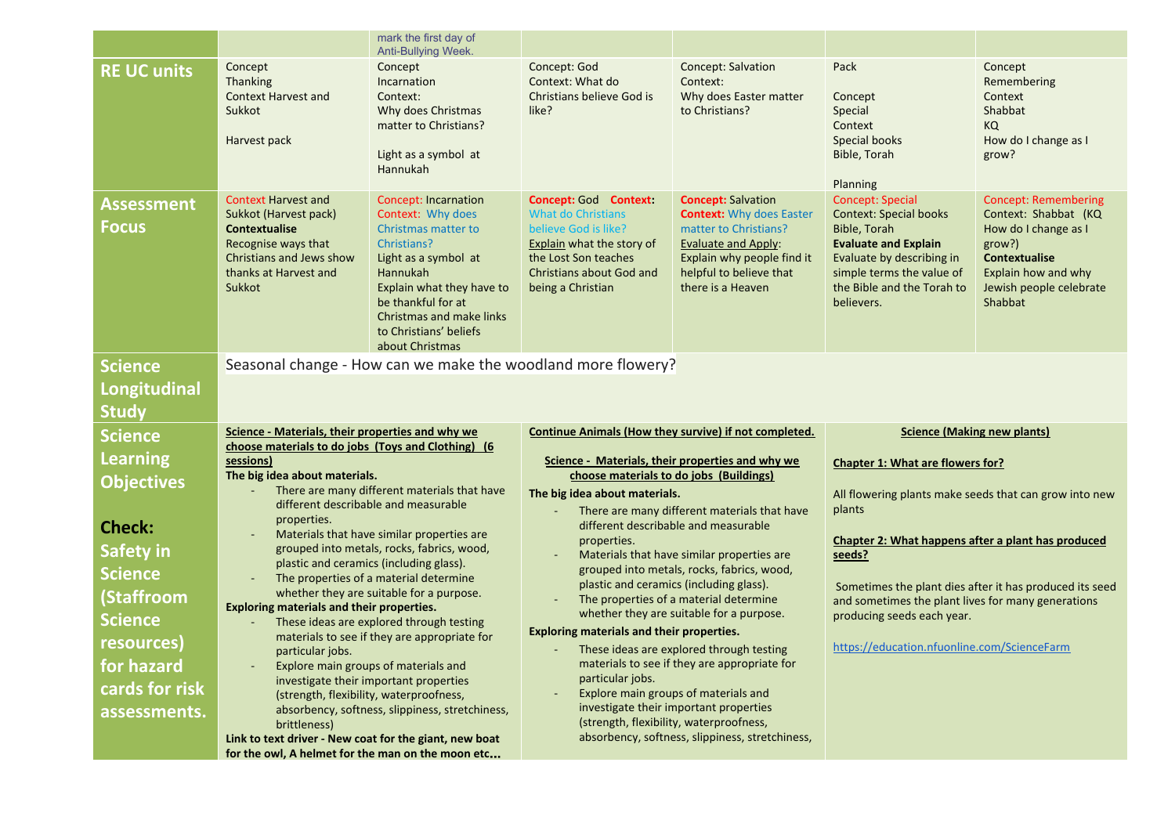|                              |                                                                                                                                                                   | mark the first day of<br>Anti-Bullying Week.                                                                                                                                                                                                    |                                                                                                                                                                                                |                                                                                                                                                                                                   |                                                                                                                                                                                                               |                                                                                                                                                                            |
|------------------------------|-------------------------------------------------------------------------------------------------------------------------------------------------------------------|-------------------------------------------------------------------------------------------------------------------------------------------------------------------------------------------------------------------------------------------------|------------------------------------------------------------------------------------------------------------------------------------------------------------------------------------------------|---------------------------------------------------------------------------------------------------------------------------------------------------------------------------------------------------|---------------------------------------------------------------------------------------------------------------------------------------------------------------------------------------------------------------|----------------------------------------------------------------------------------------------------------------------------------------------------------------------------|
| <b>RE UC units</b>           | Concept<br><b>Thanking</b><br><b>Context Harvest and</b><br>Sukkot<br>Harvest pack                                                                                | Concept<br>Incarnation<br>Context:<br>Why does Christmas<br>matter to Christians?<br>Light as a symbol at<br><b>Hannukah</b>                                                                                                                    | Concept: God<br>Context: What do<br>Christians believe God is<br>like?                                                                                                                         | Concept: Salvation<br>Context:<br>Why does Easter matter<br>to Christians?                                                                                                                        | Pack<br>Concept<br>Special<br>Context<br>Special books<br>Bible, Torah<br>Planning                                                                                                                            | Concept<br>Remembering<br>Context<br>Shabbat<br><b>KQ</b><br>How do I change as I<br>grow?                                                                                 |
| Assessment<br><b>Focus</b>   | <b>Context Harvest and</b><br>Sukkot (Harvest pack)<br><b>Contextualise</b><br>Recognise ways that<br>Christians and Jews show<br>thanks at Harvest and<br>Sukkot | Concept: Incarnation<br>Context: Why does<br>Christmas matter to<br>Christians?<br>Light as a symbol at<br>Hannukah<br>Explain what they have to<br>be thankful for at<br>Christmas and make links<br>to Christians' beliefs<br>about Christmas | <b>Concept: God Context:</b><br><b>What do Christians</b><br>believe God is like?<br><b>Explain what the story of</b><br>the Lost Son teaches<br>Christians about God and<br>being a Christian | <b>Concept: Salvation</b><br><b>Context: Why does Easter</b><br>matter to Christians?<br><b>Evaluate and Apply:</b><br>Explain why people find it<br>helpful to believe that<br>there is a Heaven | <b>Concept: Special</b><br><b>Context: Special books</b><br>Bible, Torah<br><b>Evaluate and Explain</b><br>Evaluate by describing in<br>simple terms the value of<br>the Bible and the Torah to<br>believers. | <b>Concept: Remembering</b><br>Context: Shabbat (KQ<br>How do I change as I<br>grow?)<br><b>Contextualise</b><br>Explain how and why<br>Jewish people celebrate<br>Shabbat |
| <b>Science</b>               | Seasonal change - How can we make the woodland more flowery?                                                                                                      |                                                                                                                                                                                                                                                 |                                                                                                                                                                                                |                                                                                                                                                                                                   |                                                                                                                                                                                                               |                                                                                                                                                                            |
| Longitudinal<br><b>Study</b> |                                                                                                                                                                   |                                                                                                                                                                                                                                                 |                                                                                                                                                                                                |                                                                                                                                                                                                   |                                                                                                                                                                                                               |                                                                                                                                                                            |
| <b>Science</b>               | Science - Materials, their properties and why we                                                                                                                  |                                                                                                                                                                                                                                                 | Continue Animals (How they survive) if not completed.                                                                                                                                          |                                                                                                                                                                                                   |                                                                                                                                                                                                               | <b>Science (Making new plants)</b>                                                                                                                                         |
| <b>Learning</b>              | choose materials to do jobs (Toys and Clothing) (6<br>sessions)                                                                                                   |                                                                                                                                                                                                                                                 | Science - Materials, their properties and why we                                                                                                                                               |                                                                                                                                                                                                   |                                                                                                                                                                                                               |                                                                                                                                                                            |
| <b>Objectives</b>            | The big idea about materials.                                                                                                                                     |                                                                                                                                                                                                                                                 | choose materials to do jobs (Buildings)                                                                                                                                                        |                                                                                                                                                                                                   | <b>Chapter 1: What are flowers for?</b>                                                                                                                                                                       |                                                                                                                                                                            |
|                              |                                                                                                                                                                   | There are many different materials that have<br>different describable and measurable                                                                                                                                                            | The big idea about materials.                                                                                                                                                                  |                                                                                                                                                                                                   | All flowering plants make seeds that can grow into new                                                                                                                                                        |                                                                                                                                                                            |
| <b>Check:</b>                | properties.                                                                                                                                                       |                                                                                                                                                                                                                                                 |                                                                                                                                                                                                | There are many different materials that have<br>different describable and measurable                                                                                                              | plants                                                                                                                                                                                                        |                                                                                                                                                                            |
|                              |                                                                                                                                                                   | Materials that have similar properties are<br>grouped into metals, rocks, fabrics, wood,                                                                                                                                                        | properties.                                                                                                                                                                                    |                                                                                                                                                                                                   | Chapter 2: What happens after a plant has produced                                                                                                                                                            |                                                                                                                                                                            |
| <b>Safety in</b>             |                                                                                                                                                                   | plastic and ceramics (including glass).                                                                                                                                                                                                         |                                                                                                                                                                                                | Materials that have similar properties are<br>grouped into metals, rocks, fabrics, wood,                                                                                                          | seeds?                                                                                                                                                                                                        |                                                                                                                                                                            |
| <b>Science</b>               |                                                                                                                                                                   | The properties of a material determine<br>whether they are suitable for a purpose.                                                                                                                                                              |                                                                                                                                                                                                | plastic and ceramics (including glass).                                                                                                                                                           |                                                                                                                                                                                                               | Sometimes the plant dies after it has produced its seed                                                                                                                    |
| (Staffroom                   | Exploring materials and their properties.                                                                                                                         |                                                                                                                                                                                                                                                 |                                                                                                                                                                                                | The properties of a material determine<br>whether they are suitable for a purpose.                                                                                                                | and sometimes the plant lives for many generations<br>producing seeds each year.                                                                                                                              |                                                                                                                                                                            |
| <b>Science</b>               |                                                                                                                                                                   | These ideas are explored through testing<br>materials to see if they are appropriate for                                                                                                                                                        | Exploring materials and their properties.                                                                                                                                                      |                                                                                                                                                                                                   |                                                                                                                                                                                                               |                                                                                                                                                                            |
| resources)                   | particular jobs.                                                                                                                                                  |                                                                                                                                                                                                                                                 |                                                                                                                                                                                                | These ideas are explored through testing<br>materials to see if they are appropriate for                                                                                                          | https://education.nfuonline.com/ScienceFarm                                                                                                                                                                   |                                                                                                                                                                            |
| for hazard                   |                                                                                                                                                                   | Explore main groups of materials and<br>investigate their important properties                                                                                                                                                                  | particular jobs.                                                                                                                                                                               |                                                                                                                                                                                                   |                                                                                                                                                                                                               |                                                                                                                                                                            |
| cards for risk               |                                                                                                                                                                   | (strength, flexibility, waterproofness,                                                                                                                                                                                                         |                                                                                                                                                                                                | Explore main groups of materials and<br>investigate their important properties                                                                                                                    |                                                                                                                                                                                                               |                                                                                                                                                                            |
| assessments.                 | brittleness)                                                                                                                                                      | absorbency, softness, slippiness, stretchiness,                                                                                                                                                                                                 |                                                                                                                                                                                                | (strength, flexibility, waterproofness,                                                                                                                                                           |                                                                                                                                                                                                               |                                                                                                                                                                            |
|                              | Link to text driver - New coat for the giant, new boat<br>for the owl, A helmet for the man on the moon etc                                                       |                                                                                                                                                                                                                                                 |                                                                                                                                                                                                | absorbency, softness, slippiness, stretchiness,                                                                                                                                                   |                                                                                                                                                                                                               |                                                                                                                                                                            |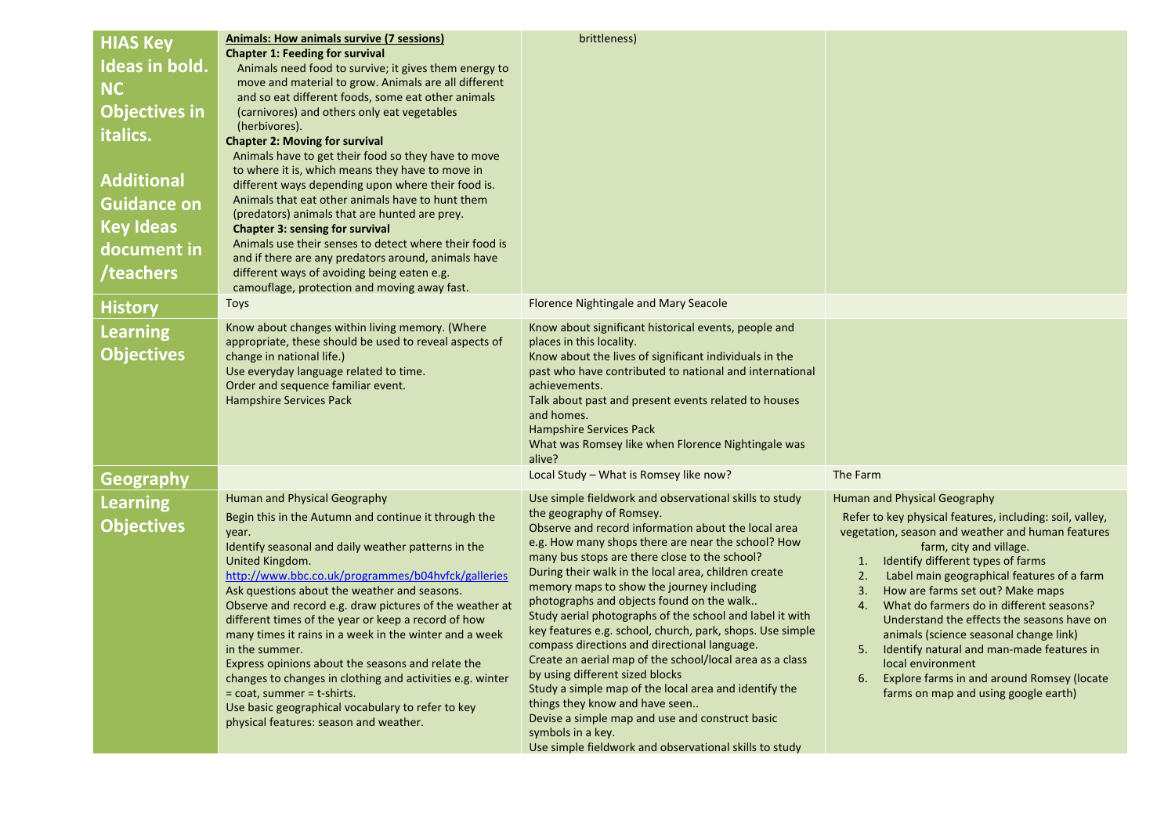| <b>HIAS Key</b><br><b>Ideas in bold.</b><br><b>NC</b><br><b>Objectives in</b><br>italics.<br><b>Additional</b><br><b>Guidance on</b><br><b>Key Ideas</b><br>document in<br><b>Teachers</b> | Animals: How animals survive (7 sessions)<br><b>Chapter 1: Feeding for survival</b><br>Animals need food to survive; it gives them energy to<br>move and material to grow. Animals are all different<br>and so eat different foods, some eat other animals<br>(carnivores) and others only eat vegetables<br>(herbivores).<br><b>Chapter 2: Moving for survival</b><br>Animals have to get their food so they have to move<br>to where it is, which means they have to move in<br>different ways depending upon where their food is.<br>Animals that eat other animals have to hunt them<br>(predators) animals that are hunted are prey.<br><b>Chapter 3: sensing for survival</b><br>Animals use their senses to detect where their food is<br>and if there are any predators around, animals have<br>different ways of avoiding being eaten e.g.<br>camouflage, protection and moving away fast. | brittleness)                                                                                                                                                                                                                                                                                                                                                                                                                                                                                                                                                                                                                                                                                                                                                                                                                                                                                            |                                                                                                                                                                                                                                                                                                                                                                                                                                                                                                                                                                                                                              |
|--------------------------------------------------------------------------------------------------------------------------------------------------------------------------------------------|-----------------------------------------------------------------------------------------------------------------------------------------------------------------------------------------------------------------------------------------------------------------------------------------------------------------------------------------------------------------------------------------------------------------------------------------------------------------------------------------------------------------------------------------------------------------------------------------------------------------------------------------------------------------------------------------------------------------------------------------------------------------------------------------------------------------------------------------------------------------------------------------------------|---------------------------------------------------------------------------------------------------------------------------------------------------------------------------------------------------------------------------------------------------------------------------------------------------------------------------------------------------------------------------------------------------------------------------------------------------------------------------------------------------------------------------------------------------------------------------------------------------------------------------------------------------------------------------------------------------------------------------------------------------------------------------------------------------------------------------------------------------------------------------------------------------------|------------------------------------------------------------------------------------------------------------------------------------------------------------------------------------------------------------------------------------------------------------------------------------------------------------------------------------------------------------------------------------------------------------------------------------------------------------------------------------------------------------------------------------------------------------------------------------------------------------------------------|
| <b>History</b>                                                                                                                                                                             | <b>Toys</b>                                                                                                                                                                                                                                                                                                                                                                                                                                                                                                                                                                                                                                                                                                                                                                                                                                                                                         | Florence Nightingale and Mary Seacole                                                                                                                                                                                                                                                                                                                                                                                                                                                                                                                                                                                                                                                                                                                                                                                                                                                                   |                                                                                                                                                                                                                                                                                                                                                                                                                                                                                                                                                                                                                              |
| <b>Learning</b><br><b>Objectives</b>                                                                                                                                                       | Know about changes within living memory. (Where<br>appropriate, these should be used to reveal aspects of<br>change in national life.)<br>Use everyday language related to time.<br>Order and sequence familiar event.<br><b>Hampshire Services Pack</b>                                                                                                                                                                                                                                                                                                                                                                                                                                                                                                                                                                                                                                            | Know about significant historical events, people and<br>places in this locality.<br>Know about the lives of significant individuals in the<br>past who have contributed to national and international<br>achievements.<br>Talk about past and present events related to houses<br>and homes.<br><b>Hampshire Services Pack</b><br>What was Romsey like when Florence Nightingale was<br>alive?                                                                                                                                                                                                                                                                                                                                                                                                                                                                                                          |                                                                                                                                                                                                                                                                                                                                                                                                                                                                                                                                                                                                                              |
| Geography                                                                                                                                                                                  |                                                                                                                                                                                                                                                                                                                                                                                                                                                                                                                                                                                                                                                                                                                                                                                                                                                                                                     | Local Study - What is Romsey like now?                                                                                                                                                                                                                                                                                                                                                                                                                                                                                                                                                                                                                                                                                                                                                                                                                                                                  | The Farm                                                                                                                                                                                                                                                                                                                                                                                                                                                                                                                                                                                                                     |
| <b>Learning</b><br><b>Objectives</b>                                                                                                                                                       | Human and Physical Geography<br>Begin this in the Autumn and continue it through the<br>year.<br>Identify seasonal and daily weather patterns in the<br>United Kingdom.<br>http://www.bbc.co.uk/programmes/b04hvfck/galleries<br>Ask questions about the weather and seasons.<br>Observe and record e.g. draw pictures of the weather at<br>different times of the year or keep a record of how<br>many times it rains in a week in the winter and a week<br>in the summer.<br>Express opinions about the seasons and relate the<br>changes to changes in clothing and activities e.g. winter<br>$=$ coat, summer $=$ t-shirts.<br>Use basic geographical vocabulary to refer to key<br>physical features: season and weather.                                                                                                                                                                      | Use simple fieldwork and observational skills to study<br>the geography of Romsey.<br>Observe and record information about the local area<br>e.g. How many shops there are near the school? How<br>many bus stops are there close to the school?<br>During their walk in the local area, children create<br>memory maps to show the journey including<br>photographs and objects found on the walk<br>Study aerial photographs of the school and label it with<br>key features e.g. school, church, park, shops. Use simple<br>compass directions and directional language.<br>Create an aerial map of the school/local area as a class<br>by using different sized blocks<br>Study a simple map of the local area and identify the<br>things they know and have seen<br>Devise a simple map and use and construct basic<br>symbols in a key.<br>Use simple fieldwork and observational skills to study | Human and Physical Geography<br>Refer to key physical features, including: soil, valley,<br>vegetation, season and weather and human features<br>farm, city and village.<br>1. Identify different types of farms<br>Label main geographical features of a farm<br>2.<br>3.<br>How are farms set out? Make maps<br>What do farmers do in different seasons?<br>4.<br>Understand the effects the seasons have on<br>animals (science seasonal change link)<br>5.<br>Identify natural and man-made features in<br>local environment<br>Explore farms in and around Romsey (locate<br>6.<br>farms on map and using google earth) |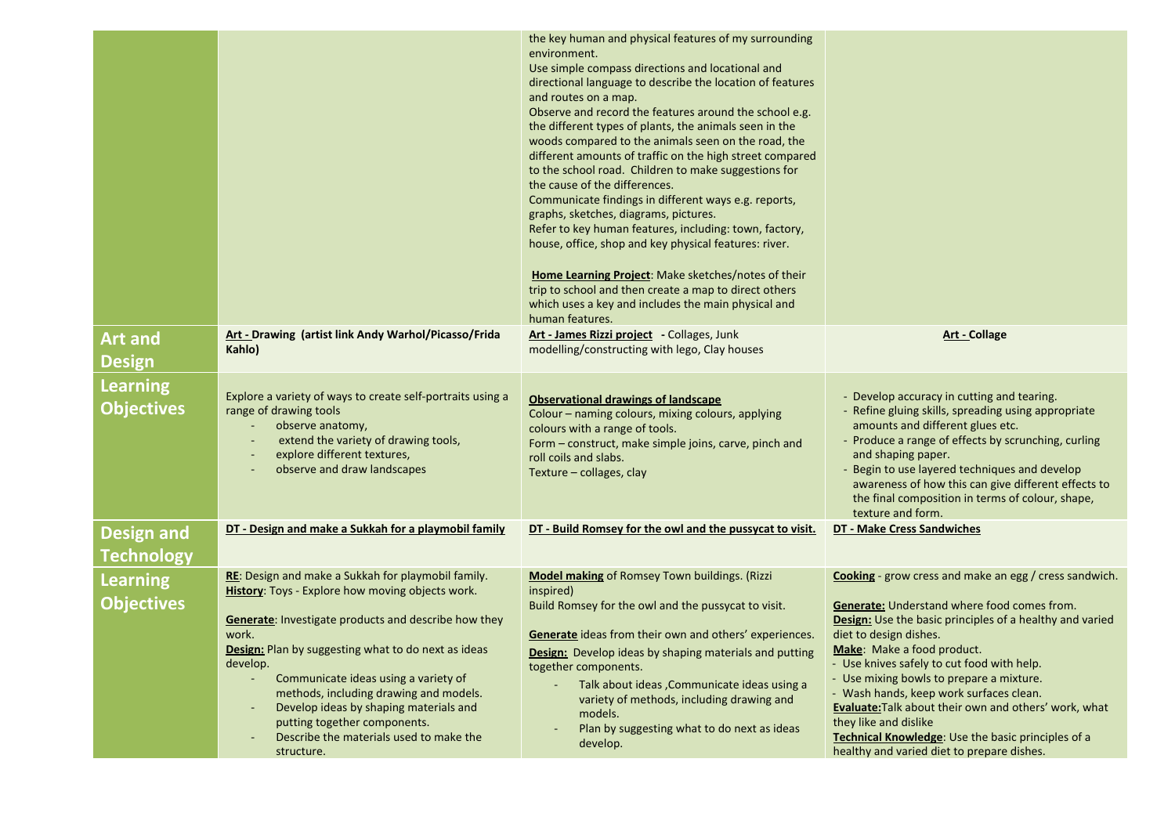|                                        |                                                                                                                                                                                                                                                                                                                                                                                                                                                                                             | the key human and physical features of my surrounding<br>environment.<br>Use simple compass directions and locational and<br>directional language to describe the location of features<br>and routes on a map.<br>Observe and record the features around the school e.g.<br>the different types of plants, the animals seen in the<br>woods compared to the animals seen on the road, the<br>different amounts of traffic on the high street compared<br>to the school road. Children to make suggestions for<br>the cause of the differences.<br>Communicate findings in different ways e.g. reports,<br>graphs, sketches, diagrams, pictures.<br>Refer to key human features, including: town, factory,<br>house, office, shop and key physical features: river.<br><b>Home Learning Project:</b> Make sketches/notes of their<br>trip to school and then create a map to direct others<br>which uses a key and includes the main physical and<br>human features. |                                                                                                                                                                                                                                                                                                                                                                                                                                                                                                                                                                                  |
|----------------------------------------|---------------------------------------------------------------------------------------------------------------------------------------------------------------------------------------------------------------------------------------------------------------------------------------------------------------------------------------------------------------------------------------------------------------------------------------------------------------------------------------------|---------------------------------------------------------------------------------------------------------------------------------------------------------------------------------------------------------------------------------------------------------------------------------------------------------------------------------------------------------------------------------------------------------------------------------------------------------------------------------------------------------------------------------------------------------------------------------------------------------------------------------------------------------------------------------------------------------------------------------------------------------------------------------------------------------------------------------------------------------------------------------------------------------------------------------------------------------------------|----------------------------------------------------------------------------------------------------------------------------------------------------------------------------------------------------------------------------------------------------------------------------------------------------------------------------------------------------------------------------------------------------------------------------------------------------------------------------------------------------------------------------------------------------------------------------------|
| <b>Art and</b><br><b>Design</b>        | Art - Drawing (artist link Andy Warhol/Picasso/Frida<br>Kahlo)                                                                                                                                                                                                                                                                                                                                                                                                                              | Art - James Rizzi project - Collages, Junk<br>modelling/constructing with lego, Clay houses                                                                                                                                                                                                                                                                                                                                                                                                                                                                                                                                                                                                                                                                                                                                                                                                                                                                         | <b>Art - Collage</b>                                                                                                                                                                                                                                                                                                                                                                                                                                                                                                                                                             |
| <b>Learning</b><br><b>Objectives</b>   | Explore a variety of ways to create self-portraits using a<br>range of drawing tools<br>observe anatomy,<br>extend the variety of drawing tools,<br>explore different textures,<br>observe and draw landscapes                                                                                                                                                                                                                                                                              | <b>Observational drawings of landscape</b><br>Colour - naming colours, mixing colours, applying<br>colours with a range of tools.<br>Form - construct, make simple joins, carve, pinch and<br>roll coils and slabs.<br>Texture - collages, clay                                                                                                                                                                                                                                                                                                                                                                                                                                                                                                                                                                                                                                                                                                                     | - Develop accuracy in cutting and tearing.<br>- Refine gluing skills, spreading using appropriate<br>amounts and different glues etc.<br>- Produce a range of effects by scrunching, curling<br>and shaping paper.<br>- Begin to use layered techniques and develop<br>awareness of how this can give different effects to<br>the final composition in terms of colour, shape,<br>texture and form.                                                                                                                                                                              |
| <b>Design and</b><br><b>Technology</b> | DT - Design and make a Sukkah for a playmobil family                                                                                                                                                                                                                                                                                                                                                                                                                                        | DT - Build Romsey for the owl and the pussycat to visit.                                                                                                                                                                                                                                                                                                                                                                                                                                                                                                                                                                                                                                                                                                                                                                                                                                                                                                            | <b>DT - Make Cress Sandwiches</b>                                                                                                                                                                                                                                                                                                                                                                                                                                                                                                                                                |
| <b>Learning</b><br><b>Objectives</b>   | <b>RE:</b> Design and make a Sukkah for playmobil family.<br><b>History:</b> Toys - Explore how moving objects work.<br><b>Generate:</b> Investigate products and describe how they<br>work.<br><b>Design:</b> Plan by suggesting what to do next as ideas<br>develop.<br>Communicate ideas using a variety of<br>methods, including drawing and models.<br>Develop ideas by shaping materials and<br>putting together components.<br>Describe the materials used to make the<br>structure. | <b>Model making</b> of Romsey Town buildings. (Rizzi<br>inspired)<br>Build Romsey for the owl and the pussycat to visit.<br><b>Generate</b> ideas from their own and others' experiences.<br><b>Design:</b> Develop ideas by shaping materials and putting<br>together components.<br>Talk about ideas , Communicate ideas using a<br>variety of methods, including drawing and<br>models.<br>Plan by suggesting what to do next as ideas<br>develop.                                                                                                                                                                                                                                                                                                                                                                                                                                                                                                               | <b>Cooking</b> - grow cress and make an egg / cress sandwich.<br><b>Generate:</b> Understand where food comes from.<br><b>Design:</b> Use the basic principles of a healthy and varied<br>diet to design dishes.<br>Make: Make a food product.<br>- Use knives safely to cut food with help.<br>- Use mixing bowls to prepare a mixture.<br>- Wash hands, keep work surfaces clean.<br><b>Evaluate:</b> Talk about their own and others' work, what<br>they like and dislike<br>Technical Knowledge: Use the basic principles of a<br>healthy and varied diet to prepare dishes. |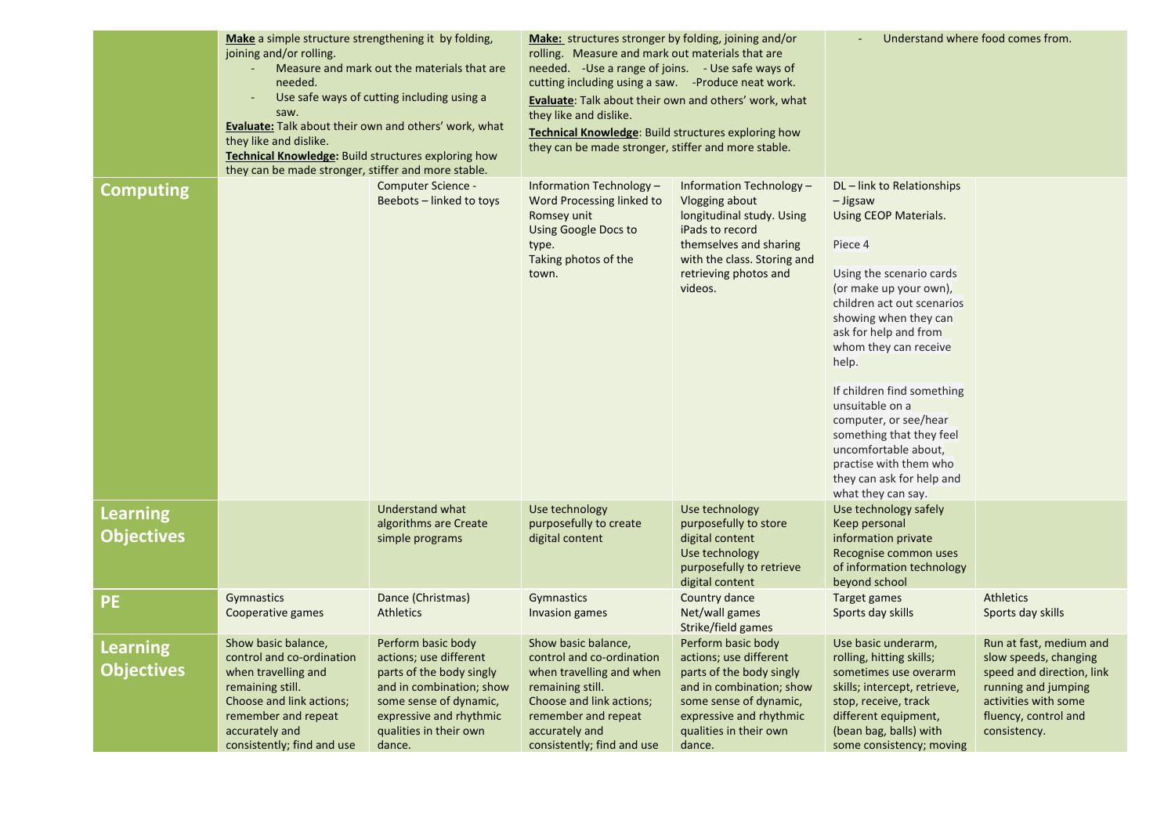|                                      | <b>Make</b> a simple structure strengthening it by folding,<br>joining and/or rolling.<br>Measure and mark out the materials that are<br>needed.<br>Use safe ways of cutting including using a<br>saw.<br>Evaluate: Talk about their own and others' work, what<br>they like and dislike.<br>Technical Knowledge: Build structures exploring how<br>they can be made stronger, stiffer and more stable. |                                                                                                                                                                                               | <b>Make:</b> structures stronger by folding, joining and/or<br>rolling. Measure and mark out materials that are<br>needed. - Use a range of joins. - Use safe ways of<br>cutting including using a saw. - Produce neat work.<br>Evaluate: Talk about their own and others' work, what<br>they like and dislike.<br>Technical Knowledge: Build structures exploring how<br>they can be made stronger, stiffer and more stable. |                                                                                                                                                                                               | Understand where food comes from.                                                                                                                                                                                                                                                                                                                                                                                                                             |                                                                                                                                                                      |
|--------------------------------------|---------------------------------------------------------------------------------------------------------------------------------------------------------------------------------------------------------------------------------------------------------------------------------------------------------------------------------------------------------------------------------------------------------|-----------------------------------------------------------------------------------------------------------------------------------------------------------------------------------------------|-------------------------------------------------------------------------------------------------------------------------------------------------------------------------------------------------------------------------------------------------------------------------------------------------------------------------------------------------------------------------------------------------------------------------------|-----------------------------------------------------------------------------------------------------------------------------------------------------------------------------------------------|---------------------------------------------------------------------------------------------------------------------------------------------------------------------------------------------------------------------------------------------------------------------------------------------------------------------------------------------------------------------------------------------------------------------------------------------------------------|----------------------------------------------------------------------------------------------------------------------------------------------------------------------|
| <b>Computing</b>                     |                                                                                                                                                                                                                                                                                                                                                                                                         | Computer Science -<br>Beebots – linked to toys                                                                                                                                                | Information Technology -<br>Word Processing linked to<br>Romsey unit<br><b>Using Google Docs to</b><br>type.<br>Taking photos of the<br>town.                                                                                                                                                                                                                                                                                 | Information Technology -<br>Vlogging about<br>longitudinal study. Using<br>iPads to record<br>themselves and sharing<br>with the class. Storing and<br>retrieving photos and<br>videos.       | DL - link to Relationships<br>- Jigsaw<br>Using CEOP Materials.<br>Piece 4<br>Using the scenario cards<br>(or make up your own),<br>children act out scenarios<br>showing when they can<br>ask for help and from<br>whom they can receive<br>help.<br>If children find something<br>unsuitable on a<br>computer, or see/hear<br>something that they feel<br>uncomfortable about,<br>practise with them who<br>they can ask for help and<br>what they can say. |                                                                                                                                                                      |
| <b>Learning</b><br><b>Objectives</b> |                                                                                                                                                                                                                                                                                                                                                                                                         | <b>Understand what</b><br>algorithms are Create<br>simple programs                                                                                                                            | Use technology<br>purposefully to create<br>digital content                                                                                                                                                                                                                                                                                                                                                                   | Use technology<br>purposefully to store<br>digital content<br>Use technology<br>purposefully to retrieve<br>digital content                                                                   | Use technology safely<br>Keep personal<br>information private<br>Recognise common uses<br>of information technology<br>beyond school                                                                                                                                                                                                                                                                                                                          |                                                                                                                                                                      |
| <b>PE</b>                            | Gymnastics<br>Cooperative games                                                                                                                                                                                                                                                                                                                                                                         | Dance (Christmas)<br><b>Athletics</b>                                                                                                                                                         | Gymnastics<br><b>Invasion games</b>                                                                                                                                                                                                                                                                                                                                                                                           | Country dance<br>Net/wall games<br>Strike/field games                                                                                                                                         | Target games<br>Sports day skills                                                                                                                                                                                                                                                                                                                                                                                                                             | <b>Athletics</b><br>Sports day skills                                                                                                                                |
| <b>Learning</b><br><b>Objectives</b> | Show basic balance,<br>control and co-ordination<br>when travelling and<br>remaining still.<br>Choose and link actions;<br>remember and repeat<br>accurately and<br>consistently; find and use                                                                                                                                                                                                          | Perform basic body<br>actions; use different<br>parts of the body singly<br>and in combination; show<br>some sense of dynamic,<br>expressive and rhythmic<br>qualities in their own<br>dance. | Show basic balance,<br>control and co-ordination<br>when travelling and when<br>remaining still.<br>Choose and link actions;<br>remember and repeat<br>accurately and<br>consistently; find and use                                                                                                                                                                                                                           | Perform basic body<br>actions; use different<br>parts of the body singly<br>and in combination; show<br>some sense of dynamic,<br>expressive and rhythmic<br>qualities in their own<br>dance. | Use basic underarm,<br>rolling, hitting skills;<br>sometimes use overarm<br>skills; intercept, retrieve,<br>stop, receive, track<br>different equipment,<br>(bean bag, balls) with<br>some consistency; moving                                                                                                                                                                                                                                                | Run at fast, medium and<br>slow speeds, changing<br>speed and direction, link<br>running and jumping<br>activities with some<br>fluency, control and<br>consistency. |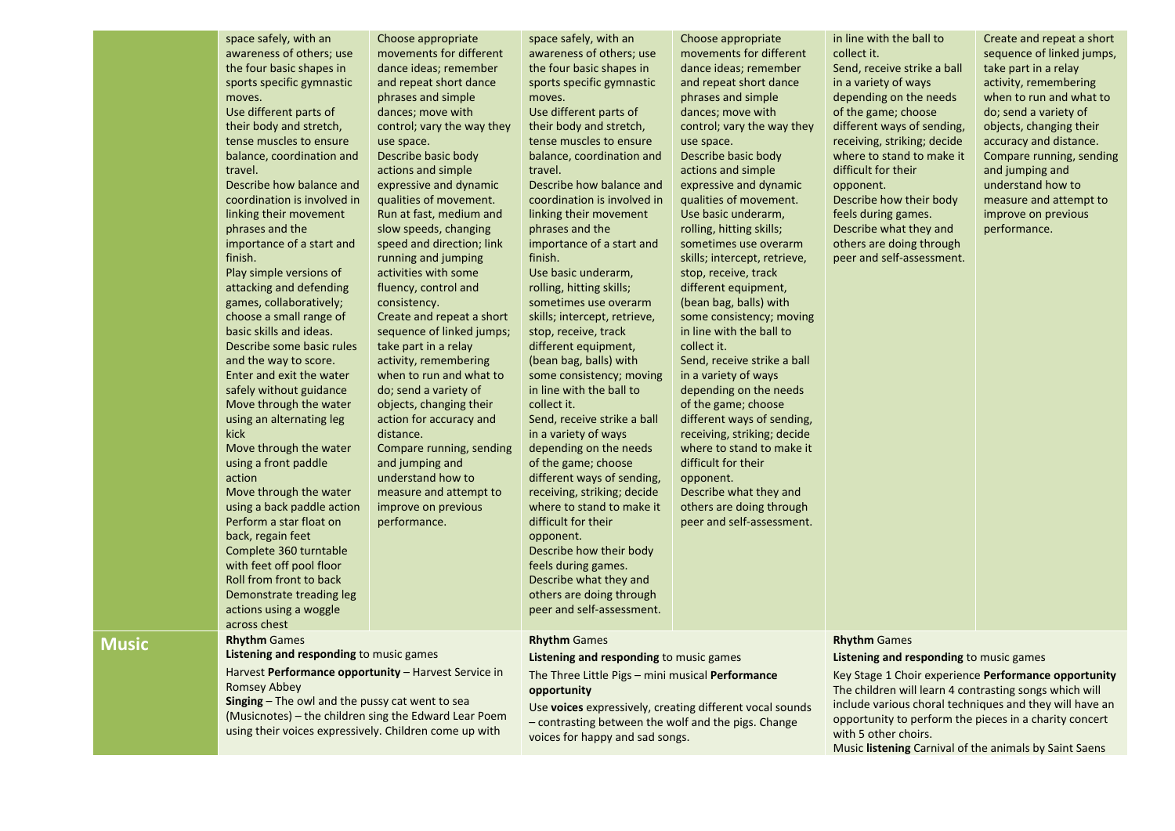|      | space safely, with an<br>awareness of others; use<br>the four basic shapes in<br>sports specific gymnastic<br>moves.<br>Use different parts of<br>their body and stretch,<br>tense muscles to ensure<br>balance, coordination and<br>travel.<br>Describe how balance and<br>coordination is involved in<br>linking their movement<br>phrases and the<br>importance of a start and<br>finish.<br>Play simple versions of<br>attacking and defending<br>games, collaboratively;<br>choose a small range of<br>basic skills and ideas.<br>Describe some basic rules<br>and the way to score.<br>Enter and exit the water<br>safely without guidance<br>Move through the water<br>using an alternating leg<br>kick<br>Move through the water<br>using a front paddle<br>action<br>Move through the water<br>using a back paddle action<br>Perform a star float on<br>back, regain feet<br>Complete 360 turntable<br>with feet off pool floor<br>Roll from front to back<br>Demonstrate treading leg<br>actions using a woggle<br>across chest | Choose appropriate<br>movements for different<br>dance ideas; remember<br>and repeat short dance<br>phrases and simple<br>dances; move with<br>control; vary the way they<br>use space.<br>Describe basic body<br>actions and simple<br>expressive and dynamic<br>qualities of movement.<br>Run at fast, medium and<br>slow speeds, changing<br>speed and direction; link<br>running and jumping<br>activities with some<br>fluency, control and<br>consistency.<br>Create and repeat a short<br>sequence of linked jumps;<br>take part in a relay<br>activity, remembering<br>when to run and what to<br>do; send a variety of<br>objects, changing their<br>action for accuracy and<br>distance.<br>Compare running, sending<br>and jumping and<br>understand how to<br>measure and attempt to<br>improve on previous<br>performance. | space safely, with an<br>awareness of others; use<br>the four basic shapes in<br>sports specific gymnastic<br>moves.<br>Use different parts of<br>their body and stretch,<br>tense muscles to ensure<br>balance, coordination and<br>travel.<br>Describe how balance and<br>coordination is involved in<br>linking their movement<br>phrases and the<br>importance of a start and<br>finish.<br>Use basic underarm,<br>rolling, hitting skills;<br>sometimes use overarm<br>skills; intercept, retrieve,<br>stop, receive, track<br>different equipment,<br>(bean bag, balls) with<br>some consistency; moving<br>in line with the ball to<br>collect it.<br>Send, receive strike a ball<br>in a variety of ways<br>depending on the needs<br>of the game; choose<br>different ways of sending,<br>receiving, striking; decide<br>where to stand to make it<br>difficult for their<br>opponent.<br>Describe how their body<br>feels during games.<br>Describe what they and<br>others are doing through<br>peer and self-assessment. | Choose appropriate<br>movements for different<br>dance ideas; remember<br>and repeat short dance<br>phrases and simple<br>dances; move with<br>control; vary the way they<br>use space.<br>Describe basic body<br>actions and simple<br>expressive and dynamic<br>qualities of movement.<br>Use basic underarm,<br>rolling, hitting skills;<br>sometimes use overarm<br>skills; intercept, retrieve,<br>stop, receive, track<br>different equipment,<br>(bean bag, balls) with<br>some consistency; moving<br>in line with the ball to<br>collect it.<br>Send, receive strike a ball<br>in a variety of ways<br>depending on the needs<br>of the game; choose<br>different ways of sending,<br>receiving, striking; decide<br>where to stand to make it<br>difficult for their<br>opponent.<br>Describe what they and<br>others are doing through<br>peer and self-assessment. | in line with the ball to<br>collect it.<br>Send, receive strike a ball<br>in a variety of ways<br>depending on the needs<br>of the game; choose<br>different ways of sending,<br>receiving, striking; decide<br>where to stand to make it<br>difficult for their<br>opponent.<br>Describe how their body<br>feels during games.<br>Describe what they and<br>others are doing through<br>peer and self-assessment. | Create and repeat a short<br>sequence of linked jumps,<br>take part in a relay<br>activity, remembering<br>when to run and what to<br>do; send a variety of<br>objects, changing their<br>accuracy and distance.<br>Compare running, sending<br>and jumping and<br>understand how to<br>measure and attempt to<br>improve on previous<br>performance. |
|------|-------------------------------------------------------------------------------------------------------------------------------------------------------------------------------------------------------------------------------------------------------------------------------------------------------------------------------------------------------------------------------------------------------------------------------------------------------------------------------------------------------------------------------------------------------------------------------------------------------------------------------------------------------------------------------------------------------------------------------------------------------------------------------------------------------------------------------------------------------------------------------------------------------------------------------------------------------------------------------------------------------------------------------------------|-----------------------------------------------------------------------------------------------------------------------------------------------------------------------------------------------------------------------------------------------------------------------------------------------------------------------------------------------------------------------------------------------------------------------------------------------------------------------------------------------------------------------------------------------------------------------------------------------------------------------------------------------------------------------------------------------------------------------------------------------------------------------------------------------------------------------------------------|--------------------------------------------------------------------------------------------------------------------------------------------------------------------------------------------------------------------------------------------------------------------------------------------------------------------------------------------------------------------------------------------------------------------------------------------------------------------------------------------------------------------------------------------------------------------------------------------------------------------------------------------------------------------------------------------------------------------------------------------------------------------------------------------------------------------------------------------------------------------------------------------------------------------------------------------------------------------------------------------------------------------------------------|--------------------------------------------------------------------------------------------------------------------------------------------------------------------------------------------------------------------------------------------------------------------------------------------------------------------------------------------------------------------------------------------------------------------------------------------------------------------------------------------------------------------------------------------------------------------------------------------------------------------------------------------------------------------------------------------------------------------------------------------------------------------------------------------------------------------------------------------------------------------------------|--------------------------------------------------------------------------------------------------------------------------------------------------------------------------------------------------------------------------------------------------------------------------------------------------------------------------------------------------------------------------------------------------------------------|-------------------------------------------------------------------------------------------------------------------------------------------------------------------------------------------------------------------------------------------------------------------------------------------------------------------------------------------------------|
| usic | <b>Rhythm Games</b>                                                                                                                                                                                                                                                                                                                                                                                                                                                                                                                                                                                                                                                                                                                                                                                                                                                                                                                                                                                                                       |                                                                                                                                                                                                                                                                                                                                                                                                                                                                                                                                                                                                                                                                                                                                                                                                                                         | <b>Rhythm Games</b>                                                                                                                                                                                                                                                                                                                                                                                                                                                                                                                                                                                                                                                                                                                                                                                                                                                                                                                                                                                                                  |                                                                                                                                                                                                                                                                                                                                                                                                                                                                                                                                                                                                                                                                                                                                                                                                                                                                                | <b>Rhythm Games</b>                                                                                                                                                                                                                                                                                                                                                                                                |                                                                                                                                                                                                                                                                                                                                                       |
|      | Listening and responding to music games                                                                                                                                                                                                                                                                                                                                                                                                                                                                                                                                                                                                                                                                                                                                                                                                                                                                                                                                                                                                   |                                                                                                                                                                                                                                                                                                                                                                                                                                                                                                                                                                                                                                                                                                                                                                                                                                         | Listening and responding to music games                                                                                                                                                                                                                                                                                                                                                                                                                                                                                                                                                                                                                                                                                                                                                                                                                                                                                                                                                                                              |                                                                                                                                                                                                                                                                                                                                                                                                                                                                                                                                                                                                                                                                                                                                                                                                                                                                                | Listening and responding to music games                                                                                                                                                                                                                                                                                                                                                                            |                                                                                                                                                                                                                                                                                                                                                       |
|      | Harvest Performance opportunity - Harvest Service in<br>Romsey Abbey<br>Singing $-$ The owl and the pussy cat went to sea<br>(Musicnotes) – the children sing the Edward Lear Poem<br>using their voices expressively. Children come up with                                                                                                                                                                                                                                                                                                                                                                                                                                                                                                                                                                                                                                                                                                                                                                                              |                                                                                                                                                                                                                                                                                                                                                                                                                                                                                                                                                                                                                                                                                                                                                                                                                                         | The Three Little Pigs - mini musical Performance<br>opportunity<br>Use <b>voices</b> expressively, creating different vocal sounds<br>- contrasting between the wolf and the pigs. Change<br>voices for happy and sad songs.                                                                                                                                                                                                                                                                                                                                                                                                                                                                                                                                                                                                                                                                                                                                                                                                         |                                                                                                                                                                                                                                                                                                                                                                                                                                                                                                                                                                                                                                                                                                                                                                                                                                                                                | Key Stage 1 Choir experience Performance opportunity<br>The children will learn 4 contrasting songs which will<br>include various choral techniques and they will have an<br>opportunity to perform the pieces in a charity concert<br>with 5 other choirs.<br>Music listening Carnival of the animals by Saint Saens                                                                                              |                                                                                                                                                                                                                                                                                                                                                       |

**Music**